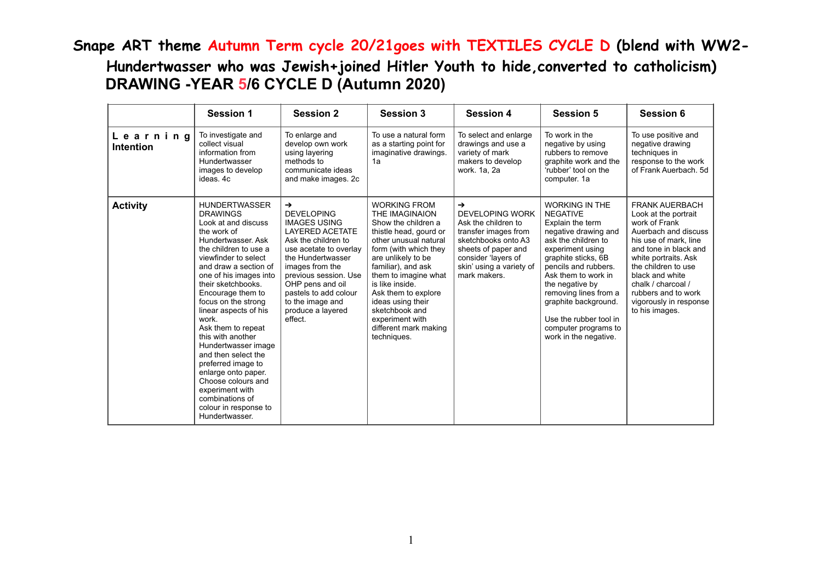## **Snape ART theme Autumn Term cycle 20/21goes with TEXTILES CYCLE D (blend with WW2- Hundertwasser who was Jewish+joined Hitler Youth to hide,converted to catholicism) DRAWING -YEAR 5/6 CYCLE D (Autumn 2020)**

|                       | <b>Session 1</b>                                                                                                                                                                                                                                                                                                                                                                                                                                                                                                                                        | <b>Session 2</b>                                                                                                                                                                                                                                                                           | <b>Session 3</b>                                                                                                                                                                                                                                                                                                                                         | <b>Session 4</b>                                                                                                                                                                            | <b>Session 5</b>                                                                                                                                                                                                                                                                                                                                     | <b>Session 6</b>                                                                                                                                                                                                                                                                                    |
|-----------------------|---------------------------------------------------------------------------------------------------------------------------------------------------------------------------------------------------------------------------------------------------------------------------------------------------------------------------------------------------------------------------------------------------------------------------------------------------------------------------------------------------------------------------------------------------------|--------------------------------------------------------------------------------------------------------------------------------------------------------------------------------------------------------------------------------------------------------------------------------------------|----------------------------------------------------------------------------------------------------------------------------------------------------------------------------------------------------------------------------------------------------------------------------------------------------------------------------------------------------------|---------------------------------------------------------------------------------------------------------------------------------------------------------------------------------------------|------------------------------------------------------------------------------------------------------------------------------------------------------------------------------------------------------------------------------------------------------------------------------------------------------------------------------------------------------|-----------------------------------------------------------------------------------------------------------------------------------------------------------------------------------------------------------------------------------------------------------------------------------------------------|
| Learning<br>Intention | To investigate and<br>collect visual<br>information from<br>Hundertwasser<br>images to develop<br>ideas, 4c                                                                                                                                                                                                                                                                                                                                                                                                                                             | To enlarge and<br>develop own work<br>using layering<br>methods to<br>communicate ideas<br>and make images. 2c                                                                                                                                                                             | To use a natural form<br>as a starting point for<br>imaginative drawings.<br>1a                                                                                                                                                                                                                                                                          | To select and enlarge<br>drawings and use a<br>variety of mark<br>makers to develop<br>work. 1a, 2a                                                                                         | To work in the<br>negative by using<br>rubbers to remove<br>graphite work and the<br>'rubber' tool on the<br>computer. 1a                                                                                                                                                                                                                            | To use positive and<br>negative drawing<br>techniques in<br>response to the work<br>of Frank Auerbach, 5d                                                                                                                                                                                           |
| <b>Activity</b>       | <b>HUNDERTWASSER</b><br><b>DRAWINGS</b><br>Look at and discuss<br>the work of<br>Hundertwasser, Ask<br>the children to use a<br>viewfinder to select<br>and draw a section of<br>one of his images into<br>their sketchbooks.<br>Encourage them to<br>focus on the strong<br>linear aspects of his<br>work<br>Ask them to repeat<br>this with another<br>Hundertwasser image<br>and then select the<br>preferred image to<br>enlarge onto paper.<br>Choose colours and<br>experiment with<br>combinations of<br>colour in response to<br>Hundertwasser. | →<br><b>DEVELOPING</b><br><b>IMAGES USING</b><br><b>LAYERED ACETATE</b><br>Ask the children to<br>use acetate to overlay<br>the Hundertwasser<br>images from the<br>previous session. Use<br>OHP pens and oil<br>pastels to add colour<br>to the image and<br>produce a layered<br>effect. | <b>WORKING FROM</b><br>THE IMAGINAION<br>Show the children a<br>thistle head, gourd or<br>other unusual natural<br>form (with which they<br>are unlikely to be<br>familiar), and ask<br>them to imagine what<br>is like inside.<br>Ask them to explore<br>ideas using their<br>sketchbook and<br>experiment with<br>different mark making<br>techniques. | →<br><b>DEVELOPING WORK</b><br>Ask the children to<br>transfer images from<br>sketchbooks onto A3<br>sheets of paper and<br>consider 'layers of<br>skin' using a variety of<br>mark makers. | <b>WORKING IN THE</b><br><b>NEGATIVE</b><br>Explain the term<br>negative drawing and<br>ask the children to<br>experiment using<br>graphite sticks, 6B<br>pencils and rubbers.<br>Ask them to work in<br>the negative by<br>removing lines from a<br>graphite background.<br>Use the rubber tool in<br>computer programs to<br>work in the negative. | <b>FRANK AUERBACH</b><br>Look at the portrait<br>work of Frank<br>Auerbach and discuss<br>his use of mark, line<br>and tone in black and<br>white portraits. Ask<br>the children to use<br>black and white<br>chalk / charcoal /<br>rubbers and to work<br>vigorously in response<br>to his images. |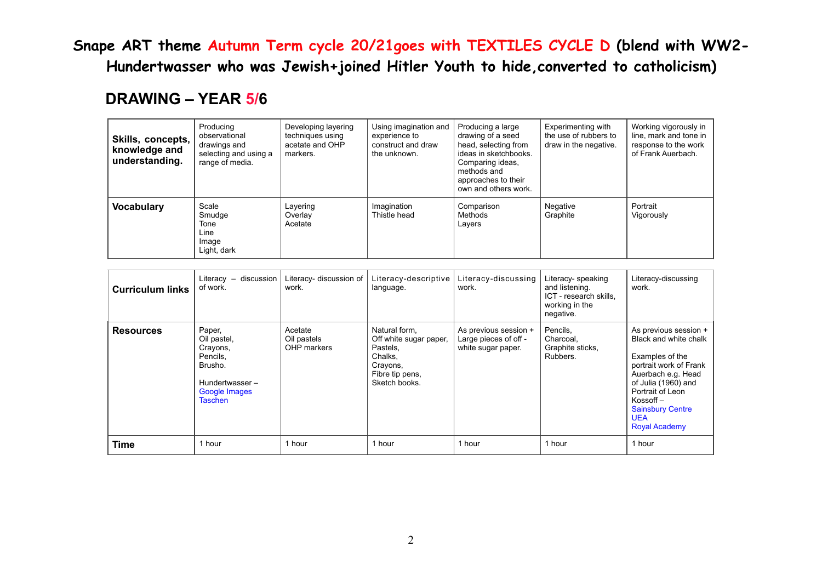**Snape ART theme Autumn Term cycle 20/21goes with TEXTILES CYCLE D (blend with WW2- Hundertwasser who was Jewish+joined Hitler Youth to hide,converted to catholicism)** 

## **DRAWING – YEAR 5/6**

| Skills, concepts,<br>knowledge and<br>understanding. | Producing<br>observational<br>drawings and<br>selecting and using a<br>range of media. | Developing layering<br>techniques using<br>acetate and OHP<br>markers. | Using imagination and<br>experience to<br>construct and draw<br>the unknown. | Producing a large<br>drawing of a seed<br>head, selecting from<br>ideas in sketchbooks.<br>Comparing ideas,<br>methods and<br>approaches to their<br>own and others work. | Experimenting with<br>the use of rubbers to<br>draw in the negative. | Working vigorously in<br>line, mark and tone in<br>response to the work<br>of Frank Auerbach. |
|------------------------------------------------------|----------------------------------------------------------------------------------------|------------------------------------------------------------------------|------------------------------------------------------------------------------|---------------------------------------------------------------------------------------------------------------------------------------------------------------------------|----------------------------------------------------------------------|-----------------------------------------------------------------------------------------------|
| <b>Vocabulary</b>                                    | Scale<br>Smudge<br>Tone<br>Line<br>Image<br>Light, dark                                | Layering<br>Overlay<br>Acetate                                         | Imagination<br>Thistle head                                                  | Comparison<br>Methods<br>Layers                                                                                                                                           | Negative<br>Graphite                                                 | Portrait<br>Vigorously                                                                        |

| <b>Curriculum links</b> | discussion<br>Literacy $-$<br>of work.                                                                        | Literacy- discussion of<br>work.      | Literacy-descriptive<br>language.                                                                              | Literacy-discussing<br>work.                                         | Literacy- speaking<br>and listening.<br>ICT - research skills,<br>working in the<br>negative. | Literacy-discussing<br>work.                                                                                                                                                                                                                    |
|-------------------------|---------------------------------------------------------------------------------------------------------------|---------------------------------------|----------------------------------------------------------------------------------------------------------------|----------------------------------------------------------------------|-----------------------------------------------------------------------------------------------|-------------------------------------------------------------------------------------------------------------------------------------------------------------------------------------------------------------------------------------------------|
| <b>Resources</b>        | Paper,<br>Oil pastel,<br>Crayons,<br>Pencils,<br>Brusho.<br>Hundertwasser-<br>Google Images<br><b>Taschen</b> | Acetate<br>Oil pastels<br>OHP markers | Natural form.<br>Off white sugar paper,<br>Pastels,<br>Chalks,<br>Crayons,<br>Fibre tip pens,<br>Sketch books. | As previous session +<br>Large pieces of off -<br>white sugar paper. | Pencils.<br>Charcoal,<br>Graphite sticks,<br>Rubbers.                                         | As previous session +<br>Black and white chalk<br>Examples of the<br>portrait work of Frank<br>Auerbach e.g. Head<br>of Julia (1960) and<br>Portrait of Leon<br>$K$ ossoff $-$<br><b>Sainsbury Centre</b><br><b>UEA</b><br><b>Royal Academy</b> |
| Time                    | 1 hour                                                                                                        | 1 hour                                | hour                                                                                                           | 1 hour                                                               | 1 hour                                                                                        | 1 hour                                                                                                                                                                                                                                          |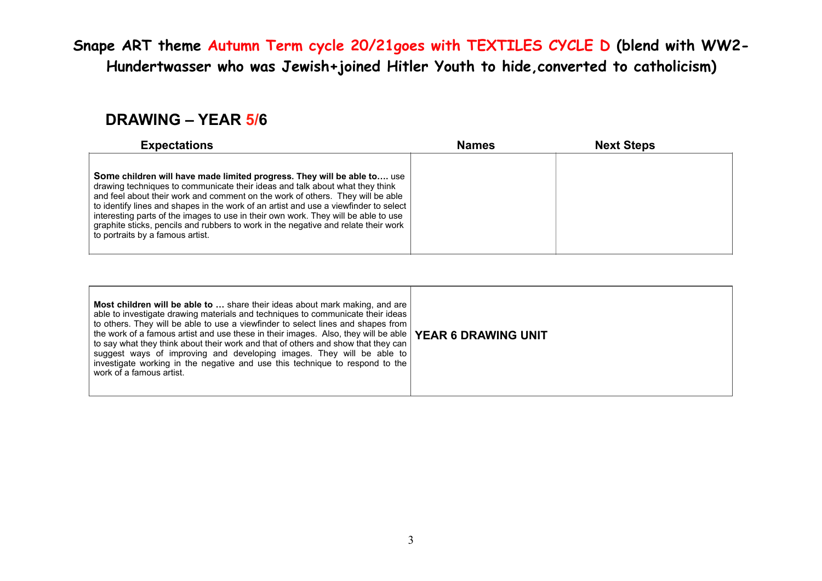**Snape ART theme Autumn Term cycle 20/21goes with TEXTILES CYCLE D (blend with WW2- Hundertwasser who was Jewish+joined Hitler Youth to hide,converted to catholicism)** 

## **DRAWING – YEAR 5/6**

| <b>Expectations</b>                                                                                                                                                                                                                                                                                                                                                                                                                                                                                                                               | <b>Names</b> | <b>Next Steps</b> |  |
|---------------------------------------------------------------------------------------------------------------------------------------------------------------------------------------------------------------------------------------------------------------------------------------------------------------------------------------------------------------------------------------------------------------------------------------------------------------------------------------------------------------------------------------------------|--------------|-------------------|--|
| Some children will have made limited progress. They will be able to use<br>drawing techniques to communicate their ideas and talk about what they think<br>and feel about their work and comment on the work of others. They will be able<br>to identify lines and shapes in the work of an artist and use a viewfinder to select<br>interesting parts of the images to use in their own work. They will be able to use<br>graphite sticks, pencils and rubbers to work in the negative and relate their work<br>to portraits by a famous artist. |              |                   |  |

| <b>Most children will be able to </b> share their ideas about mark making, and are<br>able to investigate drawing materials and techniques to communicate their ideas<br>to others. They will be able to use a viewfinder to select lines and shapes from<br>the work of a famous artist and use these in their images. Also, they will be able   YEAR 6 DRAWING UNIT<br>to say what they think about their work and that of others and show that they can<br>suggest ways of improving and developing images. They will be able to<br>investigate working in the negative and use this technique to respond to the<br>work of a famous artist. |  |
|-------------------------------------------------------------------------------------------------------------------------------------------------------------------------------------------------------------------------------------------------------------------------------------------------------------------------------------------------------------------------------------------------------------------------------------------------------------------------------------------------------------------------------------------------------------------------------------------------------------------------------------------------|--|
|-------------------------------------------------------------------------------------------------------------------------------------------------------------------------------------------------------------------------------------------------------------------------------------------------------------------------------------------------------------------------------------------------------------------------------------------------------------------------------------------------------------------------------------------------------------------------------------------------------------------------------------------------|--|